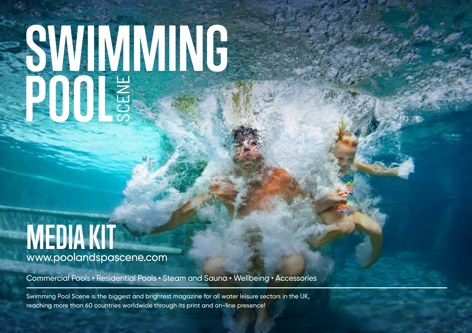# **SMMMMG**<br>POOLS

# **MEDIA KIT** www.poolandspascene.com

Commercial Pools • Residential Pools • Steam and Sauna • Wellbeing • Accessories

Swimming Pool Scene is the biggest and brightest magazine for all water leisure sectors in the UK, reaching more than 60 countries worldwide through its print and on-line presence!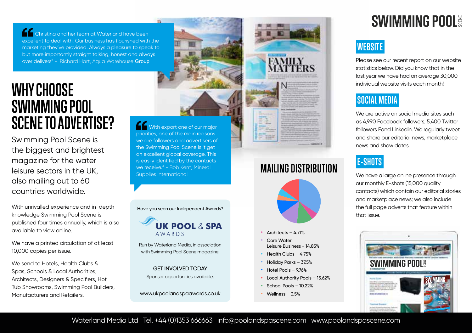Christina and her team at Waterland have been excellent to deal with. Our business has flourished with the marketing they've provided. Always a pleasure to speak to but more importantly straight talking, honest and always over delivers" - Richard Hart, Aqua Warehouse Group

# **WHYCHOOSE SWIMMINGPOOL SCENETOADVERTISE?**

Swimming Pool Scene is the biggest and brightest magazine for the water leisure sectors in the UK, also mailing out to 60 countries worldwide.

With unrivalled experience and in-depth knowledge Swimming Pool Scene is published four times annually, which is also available to view online.

We have a printed circulation of at least 10,000 copies per issue.

We send to Hotels, Health Clubs & Spas, Schools & Local Authorities, Architects, Designers & Specifiers, Hot Tub Showrooms, Swimming Pool Builders, Manufacturers and Retailers.

With export one of our major priorities, one of the main reasons we are followers and advertisers of the Swimming Pool Scene is it get an excellent global coverage. This is easily identified by the contacts we receive." - Bob Kent, Mineral Supplies International



with Swimming Pool Scene magazine. GET INVOLVED TODAY

Sponsor opportunities available.

www.ukpoolandspaawards.co.uk



### **MAILING DISTRIBUTION**



- Architects  $-4.71%$
- Core Water Leisure Business - 14.85%
- Health Clubs – 4.75%
- Holiday Parks – 37.5%
- Hotel Pools – 9.76%
- Local Authority Pools – 15.62%
- School Pools – 10.22%
- Wellness – 3.5%

# **SWIMMING POOL**

#### **WEBSITE**

Please see our recent report on our website statistics below. Did you know that in the last year we have had on average 30,000 individual website visits each month!

#### **SOCIAL MEDIA**

We are active on social media sites such as 4,990 Facebook followers, 5,400 Twitter followers Fand Linkedin. We regularly tweet and share our editorial news, marketplace news and show dates.

#### **E-SHOTS**

We have a large online presence through our monthly E-shots (15,000 quality contacts) which contain our editorial stories and marketplace news; we also include the full page adverts that feature within that issue.



Waterland Media Ltd Tel. +44 (0)1353 666663 info@poolandspascene.com www.poolandspascene.com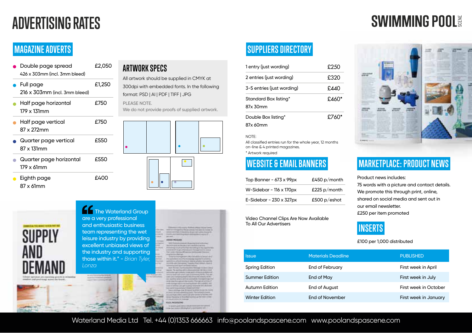# **ADVERTISING RATES**

# **SWIMMING POOL**

#### **MAGAZINE ADVERTS**

| Double page spread<br>426 x 303mm (incl. 3mm bleed) | £2,050 |
|-----------------------------------------------------|--------|
| Full page<br>216 x 303mm (incl. 3mm bleed)          | £1,250 |
| Half page horizontal<br>179 x 131mm                 | £750   |
| Half page vertical<br>87 x 272mm                    | £750   |
| Quarter page vertical<br>87 x 131mm                 | £550   |
| Quarter page horizontal<br>179 x 61mm               | £550   |
| Eighth page                                         | £∆∩    |

#### **ARTWORK SPECS**

All artwork should be supplied in CMYK at 300dpi with embedded fonts. In the following format: PSD | AI | PDF | TIFF | JPG PLEASE NOTE.

We do not provide proofs of supplied artwork.





87 x 61mm

#### **THE Waterland Group** are a very professional and enthusiastic business team representing the wet leisure industry by providing excellent unbiased views of the industry and supporting those within it." - *Brian Tyler*

|       | term arrival card by The strategy free care as make its                          | <b>ATLANTA</b> |                                            |  |
|-------|----------------------------------------------------------------------------------|----------------|--------------------------------------------|--|
|       | to b it is colored with the design by the pair and will be required. By a        |                |                                            |  |
| 44.41 | through a more based to a detail of the contract of the dealer in the local con- |                |                                            |  |
| m     | <b>MONEY</b>                                                                     |                | _______                                    |  |
|       |                                                                                  |                |                                            |  |
|       | <b><i><b>REELISED</b></i></b>                                                    |                |                                            |  |
|       | <b>THE FULL ENGINEERS &amp; ASSESSED</b>                                         |                |                                            |  |
|       | Married Art at An any on a mainly convenient                                     |                |                                            |  |
|       | between the first services and a state of the matches and                        |                |                                            |  |
|       | presented that arrested and the reservoirs signal                                |                |                                            |  |
|       | That I come returning although you in                                            |                |                                            |  |
|       | programma sharings.                                                              |                |                                            |  |
|       | - To have the intermovement collect that add by its increase all of              |                |                                            |  |
|       | The applicabilities als of the Ascordancing Higgs McChine Holmsburg              |                |                                            |  |
|       | particularly collect interior of district affective recognition                  |                |                                            |  |
| m     | ca profits and the common thereing Port network dealership                       |                |                                            |  |
|       | increased a last fixed on Fillman between                                        |                |                                            |  |
| --    | Auto Phone Parkersonner forcest in text land                                     |                |                                            |  |
|       | takens. The monthly with a deposit and provide the control. It                   |                |                                            |  |
|       | IN FAIRPLY AND THE REAL PROPERTY AND RESIDENCE.                                  |                |                                            |  |
|       | termine loads toll a part (cap) of sports the here is the part                   |                |                                            |  |
|       | <b>CALL AND</b>                                                                  |                | comprehensive processing a student result. |  |
|       | test dealers www.antical.com/all. Fechand Ltd #14                                |                |                                            |  |
|       | card continuous at the cores. The generation of                                  |                |                                            |  |
|       | conditionings call for an investigation and countries and                        |                |                                            |  |
|       | THAT IT WITHOUT UP AND \$ \$100 TO FOR THE ALL AND                               |                |                                            |  |
|       | they cannot to appropriate threaty to Politics'                                  |                |                                            |  |

#### **SUPPLIERS DIRECTORY**

| 1 entry (just wording)            | £250  |
|-----------------------------------|-------|
| 2 entries (just wording)          | £320  |
| 3-5 entries (just wording)        | £440  |
| Standard Box listing*<br>87x 30mm | £460* |
| Double Box listing*<br>87x 60mm   | £760* |

#### NOTE:

All classified entries run for the whole year, 12 months on-line & 4 printed magazines. \* Artwork required

| Top Banner - 673 x 99px        | £450 $p/m$ onth |
|--------------------------------|-----------------|
| W-Sidebar - 116 x 170px        | £225 $p$ /month |
| E-Sidebar - $230 \times 327px$ | £500 p/eshot    |

Video Channel Clips Are Now Available To All Our Advertisers



#### **WEBSITE & EMAIL BANNERS MARKETPLACE: PRODUCT NEWS**

Product news includes: 75 words with a picture and contact details. We promote this through print, online, shared on social media and sent out in our email newsletter. £250 per item promoted



£100 per 1,000 distributed

**Issue PUBLISHED Materials Deadline PUBLISHED** Spring Edition **End of February First week in April** Summer Edition **End of May First week in July** First week in July Autumn Edition **End of August First week in October** First week in October Winter Edition **End of November** First week in January